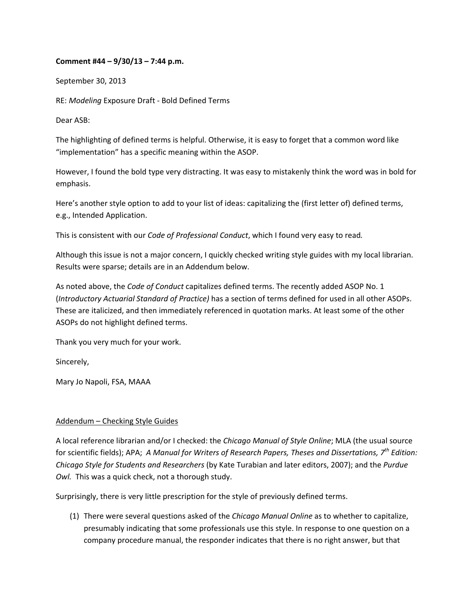## **Comment #44 – 9/30/13 – 7:44 p.m.**

September 30, 2013

RE: *Modeling* Exposure Draft ‐ Bold Defined Terms

Dear ASB:

The highlighting of defined terms is helpful. Otherwise, it is easy to forget that a common word like "implementation" has a specific meaning within the ASOP.

However, I found the bold type very distracting. It was easy to mistakenly think the word was in bold for emphasis.

Here's another style option to add to your list of ideas: capitalizing the (first letter of) defined terms, e.g., Intended Application.

This is consistent with our *Code of Professional Conduct*, which I found very easy to read*.*

Although this issue is not a major concern, I quickly checked writing style guides with my local librarian. Results were sparse; details are in an Addendum below.

As noted above, the *Code of Conduct* capitalizes defined terms. The recently added ASOP No. 1 (*Introductory Actuarial Standard of Practice)* has a section of terms defined for used in all other ASOPs. These are italicized, and then immediately referenced in quotation marks. At least some of the other ASOPs do not highlight defined terms.

Thank you very much for your work.

Sincerely,

Mary Jo Napoli, FSA, MAAA

## Addendum – Checking Style Guides

A local reference librarian and/or I checked: the *Chicago Manual of Style Online*; MLA (the usual source for scientific fields); APA; *A Manual for Writers of Research Papers, Theses and Dissertations, 7th Edition: Chicago Style for Students and Researchers* (by Kate Turabian and later editors, 2007); and the *Purdue Owl.* This was a quick check, not a thorough study.

Surprisingly, there is very little prescription for the style of previously defined terms.

(1) There were several questions asked of the *Chicago Manual Online* as to whether to capitalize, presumably indicating that some professionals use this style. In response to one question on a company procedure manual, the responder indicates that there is no right answer, but that